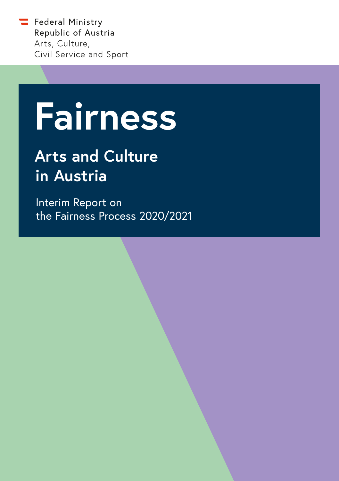$\equiv$  Federal Ministry Republic of Austria Arts, Culture, Civil Service and Sport

# **Fairness**  Fairness

# **Arts and Culture in Austria**

Interim Report on the Fairness Process 2020/2021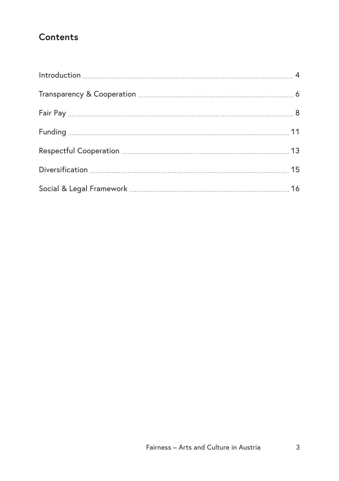## **Contents**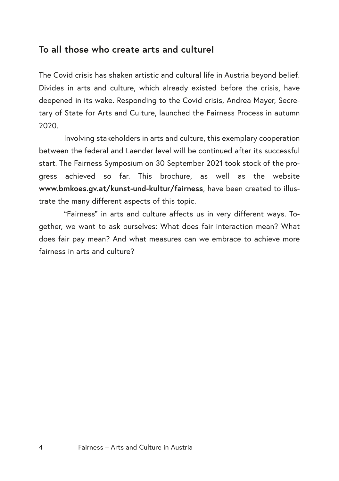### <span id="page-2-0"></span>**To all those who create arts and culture!**

The Covid crisis has shaken artistic and cultural life in Austria beyond belief. Divides in arts and culture, which already existed before the crisis, have deepened in its wake. Responding to the Covid crisis, Andrea Mayer, Secretary of State for Arts and Culture, launched the Fairness Process in autumn 2020.

Involving stakeholders in arts and culture, this exemplary cooperation between the federal and Laender level will be continued after its successful start. The Fairness Symposium on 30 September 2021 took stock of the progress achieved so far. This brochure, as well as the website **[www.bmkoes.gv.at/kunst-und-kultur/fairness](http://www.bmkoes.gv.at/kunst-und-kultur/fairness)**, have been created to illustrate the many different aspects of this topic.

"Fairness" in arts and culture affects us in very different ways. Together, we want to ask ourselves: What does fair interaction mean? What does fair pay mean? And what measures can we embrace to achieve more fairness in arts and culture?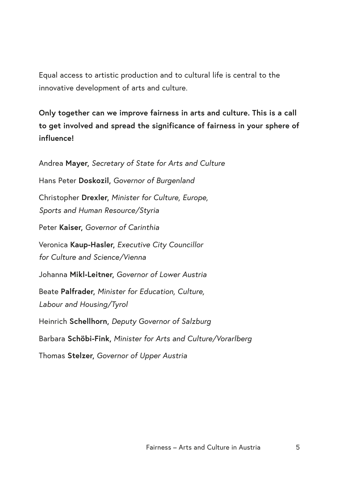Equal access to artistic production and to cultural life is central to the innovative development of arts and culture.

**Only together can we improve fairness in arts and culture. This is a call to get involved and spread the significance of fairness in your sphere of influence!**

Andrea **Mayer,** *Secretary of State for Arts and Culture*  Hans Peter **Doskozil,** *Governor of Burgenland* Christopher **Drexler,** *Minister for Culture, Europe, Sports and Human Resource/Styria* Peter **Kaiser,** *Governor of Carinthia*  Veronica **Kaup-Hasler,** *Executive City Councillor for Culture and Science/Vienna* Johanna **Mikl-Leitner,** *Governor of Lower Austria* Beate **Palfrader,** *Minister for Education, Culture, Labour and Housing/Tyrol* Heinrich **Schellhorn,** *Deputy Governor of Salzburg*  Barbara **Schöbi-Fink,** *Minister for Arts and Culture/Vorarlberg*  Thomas **Stelzer,** *Governor of Upper Austria*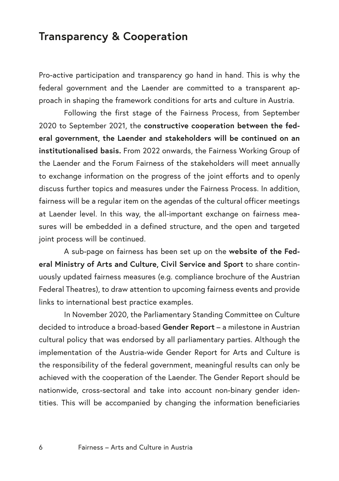## <span id="page-4-0"></span>**Transparency & Cooperation**

Pro-active participation and transparency go hand in hand. This is why the federal government and the Laender are committed to a transparent approach in shaping the framework conditions for arts and culture in Austria.

Following the first stage of the Fairness Process, from September 2020 to September 2021, the **constructive cooperation between the federal government, the Laender and stakeholders will be continued on an institutionalised basis.** From 2022 onwards, the Fairness Working Group of the Laender and the Forum Fairness of the stakeholders will meet annually to exchange information on the progress of the joint efforts and to openly discuss further topics and measures under the Fairness Process. In addition, fairness will be a regular item on the agendas of the cultural officer meetings at Laender level. In this way, the all-important exchange on fairness measures will be embedded in a defined structure, and the open and targeted joint process will be continued.

A sub-page on fairness has been set up on the **website of the Federal Ministry of Arts and Culture, Civil Service and Sport** to share continuously updated fairness measures (e.g. compliance brochure of the Austrian Federal Theatres), to draw attention to upcoming fairness events and provide links to international best practice examples.

In November 2020, the Parliamentary Standing Committee on Culture decided to introduce a broad-based **Gender Report** – a milestone in Austrian cultural policy that was endorsed by all parliamentary parties. Although the implementation of the Austria-wide Gender Report for Arts and Culture is the responsibility of the federal government, meaningful results can only be achieved with the cooperation of the Laender. The Gender Report should be nationwide, cross-sectoral and take into account non-binary gender identities. This will be accompanied by changing the information beneficiaries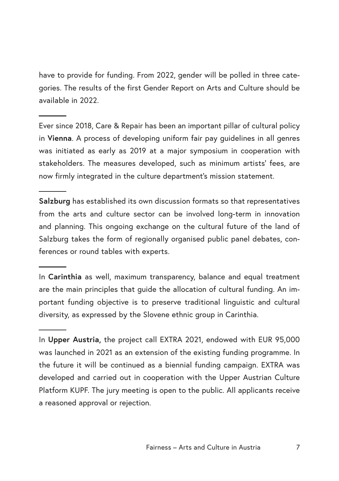have to provide for funding. From 2022, gender will be polled in three categories. The results of the first Gender Report on Arts and Culture should be available in 2022.

Ever since 2018, Care & Repair has been an important pillar of cultural policy in **Vienna**. A process of developing uniform fair pay guidelines in all genres was initiated as early as 2019 at a major symposium in cooperation with stakeholders. The measures developed, such as minimum artists' fees, are now firmly integrated in the culture department's mission statement.

**Salzburg** has established its own discussion formats so that representatives from the arts and culture sector can be involved long-term in innovation and planning. This ongoing exchange on the cultural future of the land of Salzburg takes the form of regionally organised public panel debates, conferences or round tables with experts.

In **Carinthia** as well, maximum transparency, balance and equal treatment are the main principles that guide the allocation of cultural funding. An important funding objective is to preserve traditional linguistic and cultural diversity, as expressed by the Slovene ethnic group in Carinthia.

In **Upper Austria,** the project call EXTRA 2021, endowed with EUR 95,000 was launched in 2021 as an extension of the existing funding programme. In the future it will be continued as a biennial funding campaign. EXTRA was developed and carried out in cooperation with the Upper Austrian Culture Platform KUPF. The jury meeting is open to the public. All applicants receive a reasoned approval or rejection.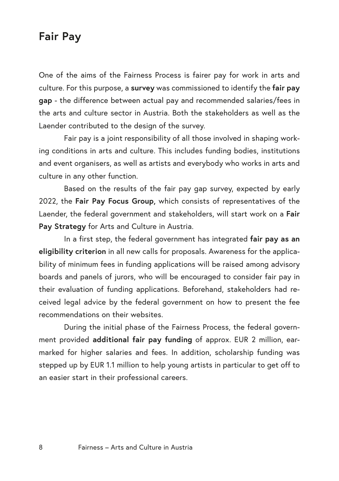## <span id="page-6-0"></span>**Fair Pay**

One of the aims of the Fairness Process is fairer pay for work in arts and culture. For this purpose, a **survey** was commissioned to identify the **fair pay gap** - the difference between actual pay and recommended salaries/fees in the arts and culture sector in Austria. Both the stakeholders as well as the Laender contributed to the design of the survey.

Fair pay is a joint responsibility of all those involved in shaping working conditions in arts and culture. This includes funding bodies, institutions and event organisers, as well as artists and everybody who works in arts and culture in any other function.

Based on the results of the fair pay gap survey, expected by early 2022, the **Fair Pay Focus Group,** which consists of representatives of the Laender, the federal government and stakeholders, will start work on a **Fair Pay Strategy** for Arts and Culture in Austria.

In a first step, the federal government has integrated **fair pay as an eligibility criterion** in all new calls for proposals. Awareness for the applicability of minimum fees in funding applications will be raised among advisory boards and panels of jurors, who will be encouraged to consider fair pay in their evaluation of funding applications. Beforehand, stakeholders had received legal advice by the federal government on how to present the fee recommendations on their websites.

During the initial phase of the Fairness Process, the federal government provided **additional fair pay funding** of approx. EUR 2 million, earmarked for higher salaries and fees. In addition, scholarship funding was stepped up by EUR 1.1 million to help young artists in particular to get off to an easier start in their professional careers.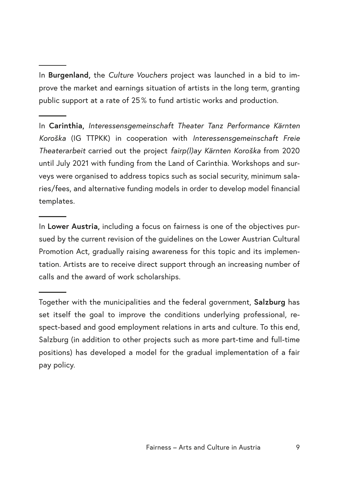In **Burgenland,** the *Culture Vouchers* project was launched in a bid to improve the market and earnings situation of artists in the long term, granting public support at a rate of 25 % to fund artistic works and production.

In **Carinthia,** *Interessensgemeinschaft Theater Tanz Performance Kärnten Koroška* (IG TTPKK) in cooperation with *Interessensgemeinschaft Freie Theaterarbeit* carried out the project *fairp(l)ay Kärnten Koroška* from 2020 until July 2021 with funding from the Land of Carinthia. Workshops and surveys were organised to address topics such as social security, minimum salaries/fees, and alternative funding models in order to develop model financial templates.

In **Lower Austria,** including a focus on fairness is one of the objectives pursued by the current revision of the guidelines on the Lower Austrian Cultural Promotion Act, gradually raising awareness for this topic and its implementation. Artists are to receive direct support through an increasing number of calls and the award of work scholarships.

Together with the municipalities and the federal government, **Salzburg** has set itself the goal to improve the conditions underlying professional, respect-based and good employment relations in arts and culture. To this end, Salzburg (in addition to other projects such as more part-time and full-time positions) has developed a model for the gradual implementation of a fair pay policy.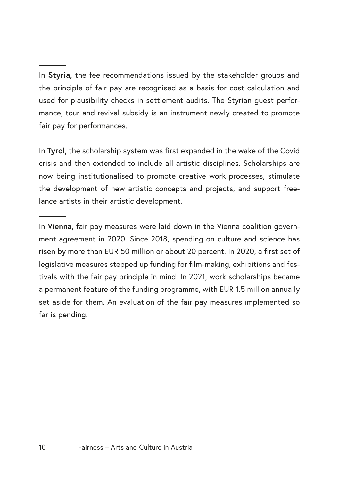In **Tyrol,** the scholarship system was first expanded in the wake of the Covid crisis and then extended to include all artistic disciplines. Scholarships are now being institutionalised to promote creative work processes, stimulate the development of new artistic concepts and projects, and support freelance artists in their artistic development.

In **Vienna,** fair pay measures were laid down in the Vienna coalition government agreement in 2020. Since 2018, spending on culture and science has risen by more than EUR 50 million or about 20 percent. In 2020, a first set of legislative measures stepped up funding for film-making, exhibitions and festivals with the fair pay principle in mind. In 2021, work scholarships became a permanent feature of the funding programme, with EUR 1.5 million annually set aside for them. An evaluation of the fair pay measures implemented so far is pending.

In **Styria,** the fee recommendations issued by the stakeholder groups and the principle of fair pay are recognised as a basis for cost calculation and used for plausibility checks in settlement audits. The Styrian guest performance, tour and revival subsidy is an instrument newly created to promote fair pay for performances.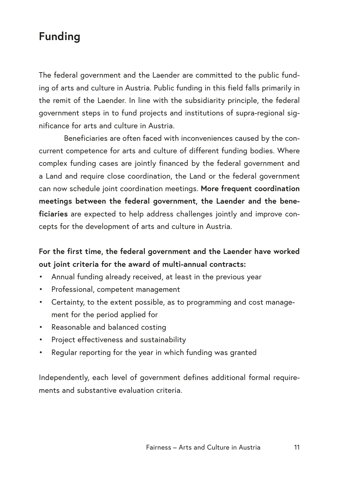## <span id="page-9-0"></span>**Funding**

The federal government and the Laender are committed to the public funding of arts and culture in Austria. Public funding in this field falls primarily in the remit of the Laender. In line with the subsidiarity principle, the federal government steps in to fund projects and institutions of supra-regional significance for arts and culture in Austria.

Beneficiaries are often faced with inconveniences caused by the concurrent competence for arts and culture of different funding bodies. Where complex funding cases are jointly financed by the federal government and a Land and require close coordination, the Land or the federal government can now schedule joint coordination meetings. **More frequent coordination meetings between the federal government, the Laender and the beneficiaries** are expected to help address challenges jointly and improve concepts for the development of arts and culture in Austria.

#### **For the first time, the federal government and the Laender have worked out joint criteria for the award of multi-annual contracts:**

- Annual funding already received, at least in the previous year
- Professional, competent management
- Certainty, to the extent possible, as to programming and cost management for the period applied for
- Reasonable and balanced costing
- Project effectiveness and sustainability
- Regular reporting for the year in which funding was granted

Independently, each level of government defines additional formal requirements and substantive evaluation criteria.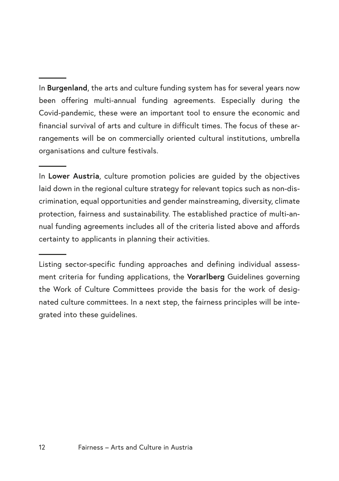In **Burgenland**, the arts and culture funding system has for several years now been offering multi-annual funding agreements. Especially during the Covid-pandemic, these were an important tool to ensure the economic and financial survival of arts and culture in difficult times. The focus of these arrangements will be on commercially oriented cultural institutions, umbrella organisations and culture festivals.

In **Lower Austria**, culture promotion policies are guided by the objectives laid down in the regional culture strategy for relevant topics such as non-discrimination, equal opportunities and gender mainstreaming, diversity, climate protection, fairness and sustainability. The established practice of multi-annual funding agreements includes all of the criteria listed above and affords certainty to applicants in planning their activities.

Listing sector-specific funding approaches and defining individual assessment criteria for funding applications, the **Vorarlberg** Guidelines governing the Work of Culture Committees provide the basis for the work of designated culture committees. In a next step, the fairness principles will be integrated into these guidelines.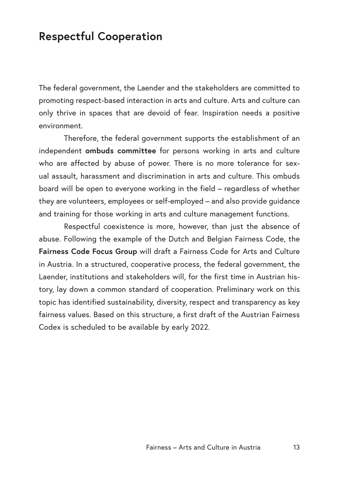## <span id="page-11-0"></span>**Respectful Cooperation**

The federal government, the Laender and the stakeholders are committed to promoting respect-based interaction in arts and culture. Arts and culture can only thrive in spaces that are devoid of fear. Inspiration needs a positive environment.

Therefore, the federal government supports the establishment of an independent **ombuds committee** for persons working in arts and culture who are affected by abuse of power. There is no more tolerance for sexual assault, harassment and discrimination in arts and culture. This ombuds board will be open to everyone working in the field – regardless of whether they are volunteers, employees or self-employed – and also provide guidance and training for those working in arts and culture management functions.

Respectful coexistence is more, however, than just the absence of abuse. Following the example of the Dutch and Belgian Fairness Code, the **Fairness Code Focus Group** will draft a Fairness Code for Arts and Culture in Austria. In a structured, cooperative process, the federal government, the Laender, institutions and stakeholders will, for the first time in Austrian history, lay down a common standard of cooperation. Preliminary work on this topic has identified sustainability, diversity, respect and transparency as key fairness values. Based on this structure, a first draft of the Austrian Fairness Codex is scheduled to be available by early 2022.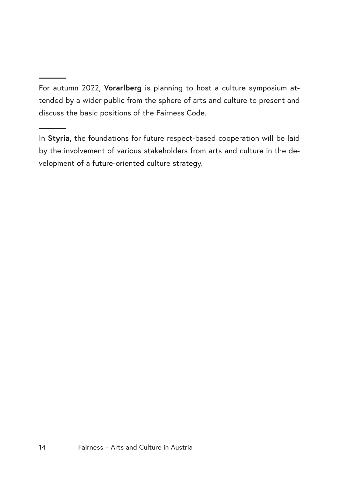For autumn 2022, **Vorarlberg** is planning to host a culture symposium attended by a wider public from the sphere of arts and culture to present and discuss the basic positions of the Fairness Code.

In **Styria,** the foundations for future respect-based cooperation will be laid by the involvement of various stakeholders from arts and culture in the development of a future-oriented culture strategy.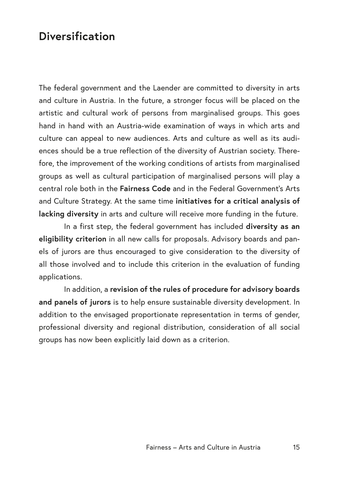## <span id="page-13-0"></span>**Diversification**

The federal government and the Laender are committed to diversity in arts and culture in Austria. In the future, a stronger focus will be placed on the artistic and cultural work of persons from marginalised groups. This goes hand in hand with an Austria-wide examination of ways in which arts and culture can appeal to new audiences. Arts and culture as well as its audiences should be a true reflection of the diversity of Austrian society. Therefore, the improvement of the working conditions of artists from marginalised groups as well as cultural participation of marginalised persons will play a central role both in the **Fairness Code** and in the Federal Government's Arts and Culture Strategy. At the same time **initiatives for a critical analysis of lacking diversity** in arts and culture will receive more funding in the future.

In a first step, the federal government has included **diversity as an eligibility criterion** in all new calls for proposals. Advisory boards and panels of jurors are thus encouraged to give consideration to the diversity of all those involved and to include this criterion in the evaluation of funding applications.

In addition, a **revision of the rules of procedure for advisory boards and panels of jurors** is to help ensure sustainable diversity development. In addition to the envisaged proportionate representation in terms of gender, professional diversity and regional distribution, consideration of all social groups has now been explicitly laid down as a criterion.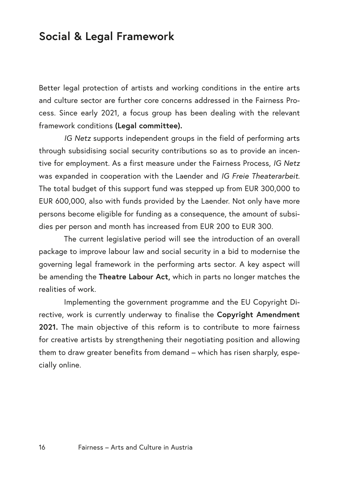## <span id="page-14-0"></span>**Social & Legal Framework**

Better legal protection of artists and working conditions in the entire arts and culture sector are further core concerns addressed in the Fairness Process. Since early 2021, a focus group has been dealing with the relevant framework conditions **(Legal committee).**

*IG Netz* supports independent groups in the field of performing arts through subsidising social security contributions so as to provide an incentive for employment. As a first measure under the Fairness Process, *IG Netz*  was expanded in cooperation with the Laender and *IG Freie Theaterarbeit.*  The total budget of this support fund was stepped up from EUR 300,000 to EUR 600,000, also with funds provided by the Laender. Not only have more persons become eligible for funding as a consequence, the amount of subsidies per person and month has increased from EUR 200 to EUR 300.

The current legislative period will see the introduction of an overall package to improve labour law and social security in a bid to modernise the governing legal framework in the performing arts sector. A key aspect will be amending the **Theatre Labour Act,** which in parts no longer matches the realities of work.

Implementing the government programme and the EU Copyright Directive, work is currently underway to finalise the **Copyright Amendment 2021.** The main objective of this reform is to contribute to more fairness for creative artists by strengthening their negotiating position and allowing them to draw greater benefits from demand – which has risen sharply, especially online.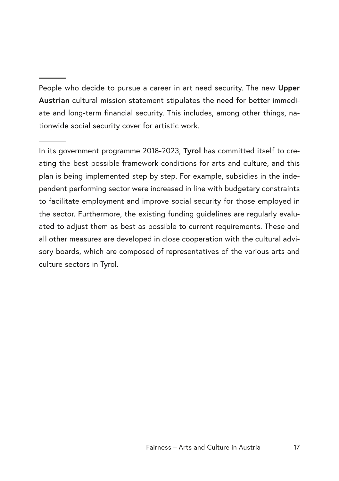People who decide to pursue a career in art need security. The new **Upper Austrian** cultural mission statement stipulates the need for better immediate and long-term financial security. This includes, among other things, nationwide social security cover for artistic work.

In its government programme 2018-2023, **Tyrol** has committed itself to creating the best possible framework conditions for arts and culture, and this plan is being implemented step by step. For example, subsidies in the independent performing sector were increased in line with budgetary constraints to facilitate employment and improve social security for those employed in the sector. Furthermore, the existing funding guidelines are regularly evaluated to adjust them as best as possible to current requirements. These and all other measures are developed in close cooperation with the cultural advisory boards, which are composed of representatives of the various arts and culture sectors in Tyrol.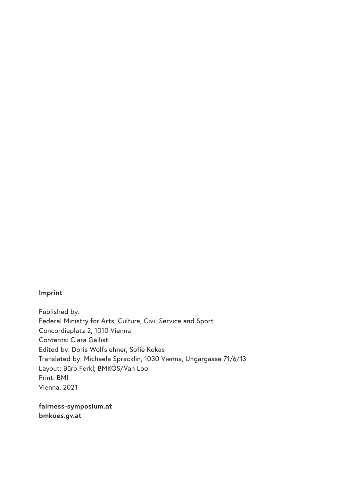#### **Imprint**

Published by: Federal Ministry for Arts, Culture, Civil Service and Sport Concordiaplatz 2, 1010 Vienna Contents: Clara Gallistl Edited by: Doris Wolfslehner, Sofie Kokas Translated by: Michaela Spracklin, 1030 Vienna, Ungargasse 71/6/13 Layout: Büro Ferkl; BMKÖS/Van Loo Print: BMI Vienna, 2021

**fairness-symposium.at bmkoes.gv.at**